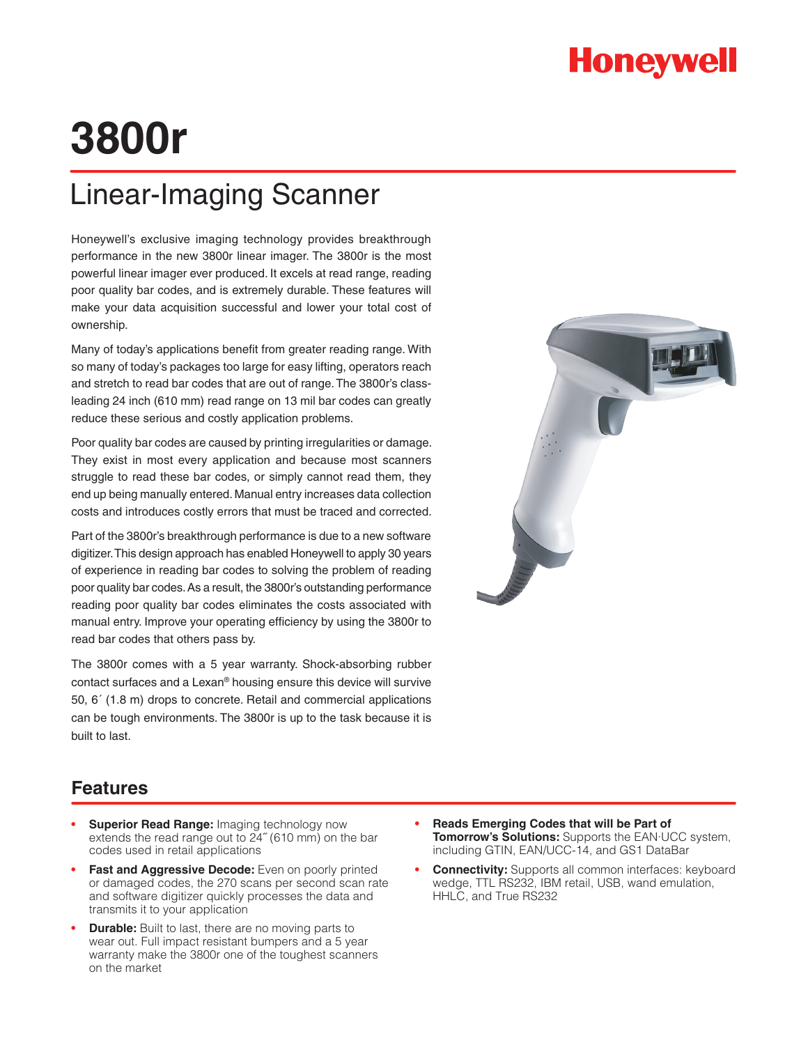## **Honeywell**

# **3800r**

## Linear-Imaging Scanner

Honeywell's exclusive imaging technology provides breakthrough performance in the new 3800r linear imager. The 3800r is the most powerful linear imager ever produced. It excels at read range, reading poor quality bar codes, and is extremely durable. These features will make your data acquisition successful and lower your total cost of ownership.

Many of today's applications benefit from greater reading range. With so many of today's packages too large for easy lifting, operators reach and stretch to read bar codes that are out of range. The 3800r's classleading 24 inch (610 mm) read range on 13 mil bar codes can greatly reduce these serious and costly application problems.

Poor quality bar codes are caused by printing irregularities or damage. They exist in most every application and because most scanners struggle to read these bar codes, or simply cannot read them, they end up being manually entered. Manual entry increases data collection costs and introduces costly errors that must be traced and corrected.

Part of the 3800r's breakthrough performance is due to a new software digitizer. This design approach has enabled Honeywell to apply 30 years of experience in reading bar codes to solving the problem of reading poor quality bar codes. As a result, the 3800r's outstanding performance reading poor quality bar codes eliminates the costs associated with manual entry. Improve your operating efficiency by using the 3800r to read bar codes that others pass by.

The 3800r comes with a 5 year warranty. Shock-absorbing rubber contact surfaces and a Lexan® housing ensure this device will survive 50, 6´ (1.8 m) drops to concrete. Retail and commercial applications can be tough environments. The 3800r is up to the task because it is built to last.



### **Features**

- **Superior Read Range: Imaging technology now** extends the read range out to 24˝ (610 mm) on the bar codes used in retail applications
- Fast and Aggressive Decode: Even on poorly printed or damaged codes, the 270 scans per second scan rate and software digitizer quickly processes the data and transmits it to your application
- **Durable:** Built to last, there are no moving parts to wear out. Full impact resistant bumpers and a 5 year warranty make the 3800r one of the toughest scanners on the market
- **• Reads Emerging Codes that will be Part of Tomorrow's Solutions:** Supports the EAN·UCC system, including GTIN, EAN/UCC-14, and GS1 DataBar
- **• Connectivity:** Supports all common interfaces: keyboard wedge, TTL RS232, IBM retail, USB, wand emulation, HHLC, and True RS232